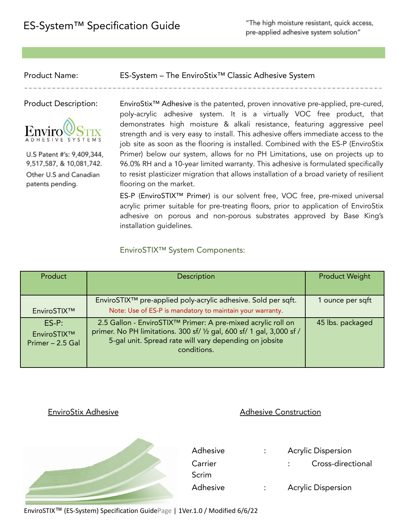"The high moisture resistant, quick access, pre-applied adhesive system solution"

Product Name: ES-System – The EnviroStix™ Classic Adhesive System



U.S Patent #'s: 9,409,344, 9,517,587, & 10,081,742. Other U.S and Canadian patents pending.

Product Description: EnviroStix<sup>™</sup> Adhesive is the patented, proven innovative pre-applied, pre-cured, poly-acrylic adhesive system. It is a virtually VOC free product, that demonstrates high moisture & alkali resistance, featuring aggressive peel strength and is very easy to install. This adhesive offers immediate access to the job site as soon as the flooring is installed. Combined with the ES-P (EnviroStix Primer) below our system, allows for no PH Limitations, use on projects up to 96.0% RH and a 10-year limited warranty. This adhesive is formulated specifically to resist plasticizer migration that allows installation of a broad variety of resilient flooring on the market.

> ES-P (EnviroSTIX™ Primer) is our solvent free, VOC free, pre-mixed universal acrylic primer suitable for pre-treating floors, prior to application of EnviroStix adhesive on porous and non-porous substrates approved by Base King's installation guidelines.

### EnviroSTIX™ System Components:

| Product                                    | Description                                                                                                                                                                                                    | <b>Product Weight</b> |
|--------------------------------------------|----------------------------------------------------------------------------------------------------------------------------------------------------------------------------------------------------------------|-----------------------|
| EnviroSTIX™                                | EnviroSTIX <sup>™</sup> pre-applied poly-acrylic adhesive. Sold per sqft.<br>Note: Use of ES-P is mandatory to maintain your warranty.                                                                         | 1 ounce per sqft      |
| $ES-P:$<br>EnviroSTIX™<br>Primer - 2.5 Gal | 2.5 Gallon - EnviroSTIX™ Primer: A pre-mixed acrylic roll on<br>primer. No PH limitations. 300 sf/ 1/2 gal, 600 sf/ 1 gal, 3,000 sf /<br>5-gal unit. Spread rate will vary depending on jobsite<br>conditions. | 45 lbs. packaged      |

### EnviroStix Adhesive **Adhesive Construction**



EnviroSTIX™ (ES-System) Specification GuidePage | 1Ver.1.0 / Modified 6/6/22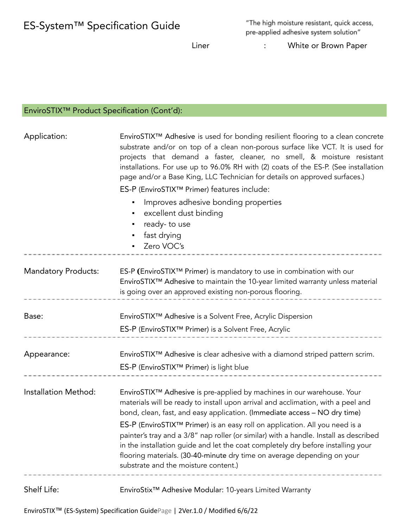| ES-System™ Specification Guide              |                                                                                                                                                                                                                   | Liner                                                                                                                                                                                                                                                                                                                                                                                                                                                                                                   | "The high moisture resistant, quick access,<br>pre-applied adhesive system solution"<br>White or Brown Paper |  |
|---------------------------------------------|-------------------------------------------------------------------------------------------------------------------------------------------------------------------------------------------------------------------|---------------------------------------------------------------------------------------------------------------------------------------------------------------------------------------------------------------------------------------------------------------------------------------------------------------------------------------------------------------------------------------------------------------------------------------------------------------------------------------------------------|--------------------------------------------------------------------------------------------------------------|--|
| EnviroSTIX™ Product Specification (Cont'd): |                                                                                                                                                                                                                   |                                                                                                                                                                                                                                                                                                                                                                                                                                                                                                         |                                                                                                              |  |
| Application:                                | excellent dust binding<br>ready-to use<br>fast drying<br>Zero VOC's                                                                                                                                               | EnviroSTIX™ Adhesive is used for bonding resilient flooring to a clean concrete<br>substrate and/or on top of a clean non-porous surface like VCT. It is used for<br>projects that demand a faster, cleaner, no smell, & moisture resistant<br>installations. For use up to 96.0% RH with (2) coats of the ES-P. (See installation<br>page and/or a Base King, LLC Technician for details on approved surfaces.)<br>ES-P (EnviroSTIX™ Primer) features include:<br>Improves adhesive bonding properties |                                                                                                              |  |
| <b>Mandatory Products:</b>                  | ES-P (EnviroSTIX™ Primer) is mandatory to use in combination with our<br>EnviroSTIX™ Adhesive to maintain the 10-year limited warranty unless material<br>is going over an approved existing non-porous flooring. |                                                                                                                                                                                                                                                                                                                                                                                                                                                                                                         |                                                                                                              |  |
| Base:                                       | EnviroSTIX <sup>™</sup> Adhesive is a Solvent Free, Acrylic Dispersion<br>ES-P (EnviroSTIX™ Primer) is a Solvent Free, Acrylic                                                                                    |                                                                                                                                                                                                                                                                                                                                                                                                                                                                                                         |                                                                                                              |  |
| Appearance:                                 |                                                                                                                                                                                                                   |                                                                                                                                                                                                                                                                                                                                                                                                                                                                                                         | EnviroSTIX™ Adhesive is clear adhesive with a diamond striped pattern scrim.                                 |  |

ES-P (EnviroSTIX™ Primer) is light blue

Installation Method: EnviroSTIX™ Adhesive is pre-applied by machines in our warehouse. Your materials will be ready to install upon arrival and acclimation, with a peel and bond, clean, fast, and easy application. (Immediate access – NO dry time)

ES-P (EnviroSTIX™ Primer) is an easy roll on application. All you need is a painter's tray and a 3/8" nap roller (or similar) with a handle. Install as described in the installation guide and let the coat completely dry before installing your flooring materials. (30-40-minute dry time on average depending on your substrate and the moisture content.)

Shelf Life: EnviroStix™ Adhesive Modular: 10-years Limited Warranty